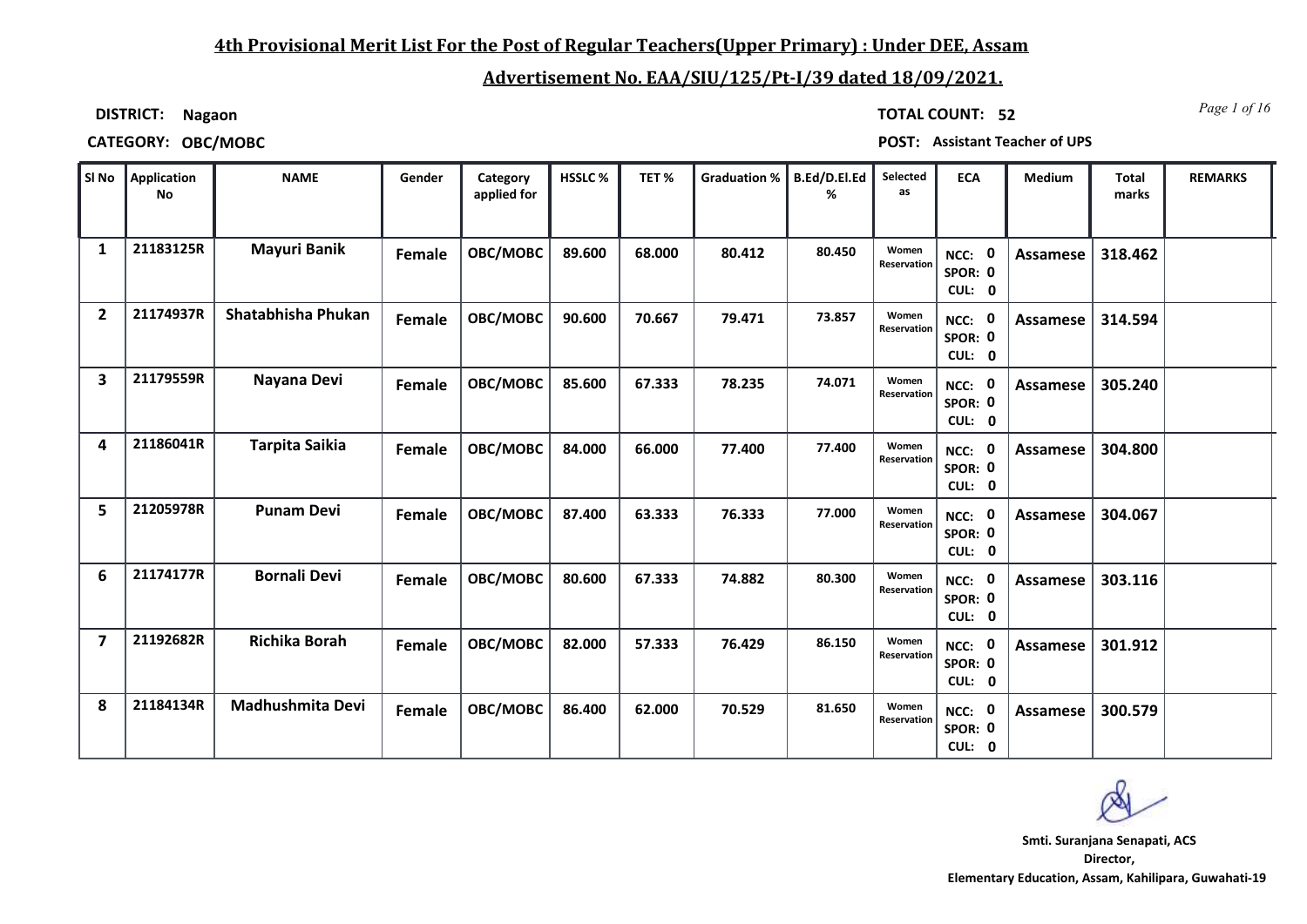### **4th Provisional Merit List For the Post of Regular Teachers(Upper Primary) : Under DEE, Assam**

### **Advertisement No. EAA/SIU/125/Pt-I/39 dated 18/09/2021.**

**DISTRICT: Nagaon**

*Page 1 of 16* **TOTAL COUNT: 52**

**CATEGORY: OBC/MOBC POST: Assistant Teacher of UPS**

|                | SI No Application<br>No | <b>NAME</b>             | Gender | Category<br>applied for | HSSLC % | TET%   | <b>Graduation %</b> | B.Ed/D.El.Ed<br>℅ | Selected<br>as       | <b>ECA</b>                               | Medium          | <b>Total</b><br>marks | <b>REMARKS</b> |
|----------------|-------------------------|-------------------------|--------|-------------------------|---------|--------|---------------------|-------------------|----------------------|------------------------------------------|-----------------|-----------------------|----------------|
| 1              | 21183125R               | <b>Mayuri Banik</b>     | Female | OBC/MOBC                | 89.600  | 68.000 | 80.412              | 80.450            | Women<br>Reservation | $\mathbf 0$<br>NCC:<br>SPOR: 0<br>CUL: 0 | Assamese        | 318.462               |                |
| $\overline{2}$ | 21174937R               | Shatabhisha Phukan      | Female | OBC/MOBC                | 90.600  | 70.667 | 79.471              | 73.857            | Women<br>Reservation | NCC: 0<br>SPOR: 0<br>CUL: 0              | Assamese        | 314.594               |                |
| 3              | 21179559R               | Nayana Devi             | Female | OBC/MOBC                | 85.600  | 67.333 | 78.235              | 74.071            | Women<br>Reservation | 0<br>NCC:<br>SPOR: 0<br>CUL: 0           | Assamese        | 305.240               |                |
| 4              | 21186041R               | <b>Tarpita Saikia</b>   | Female | OBC/MOBC                | 84.000  | 66.000 | 77.400              | 77.400            | Women<br>Reservation | NCC: 0<br>SPOR: 0<br>CUL: 0              | Assamese        | 304.800               |                |
| 5              | 21205978R               | <b>Punam Devi</b>       | Female | OBC/MOBC                | 87.400  | 63.333 | 76.333              | 77.000            | Women<br>Reservation | NCC: 0<br>SPOR: 0<br>CUL: 0              | Assamese        | 304.067               |                |
| 6              | 21174177R               | <b>Bornali Devi</b>     | Female | OBC/MOBC                | 80.600  | 67.333 | 74.882              | 80.300            | Women<br>Reservation | $\mathbf 0$<br>NCC:<br>SPOR: 0<br>CUL: 0 | <b>Assamese</b> | 303.116               |                |
| $\overline{7}$ | 21192682R               | <b>Richika Borah</b>    | Female | OBC/MOBC                | 82.000  | 57.333 | 76.429              | 86.150            | Women<br>Reservation | NCC: 0<br>SPOR: 0<br>CUL: 0              | Assamese        | 301.912               |                |
| 8              | 21184134R               | <b>Madhushmita Devi</b> | Female | OBC/MOBC                | 86.400  | 62.000 | 70.529              | 81.650            | Women<br>Reservation | NCC: 0<br>SPOR: 0<br>CUL: 0              | Assamese        | 300.579               |                |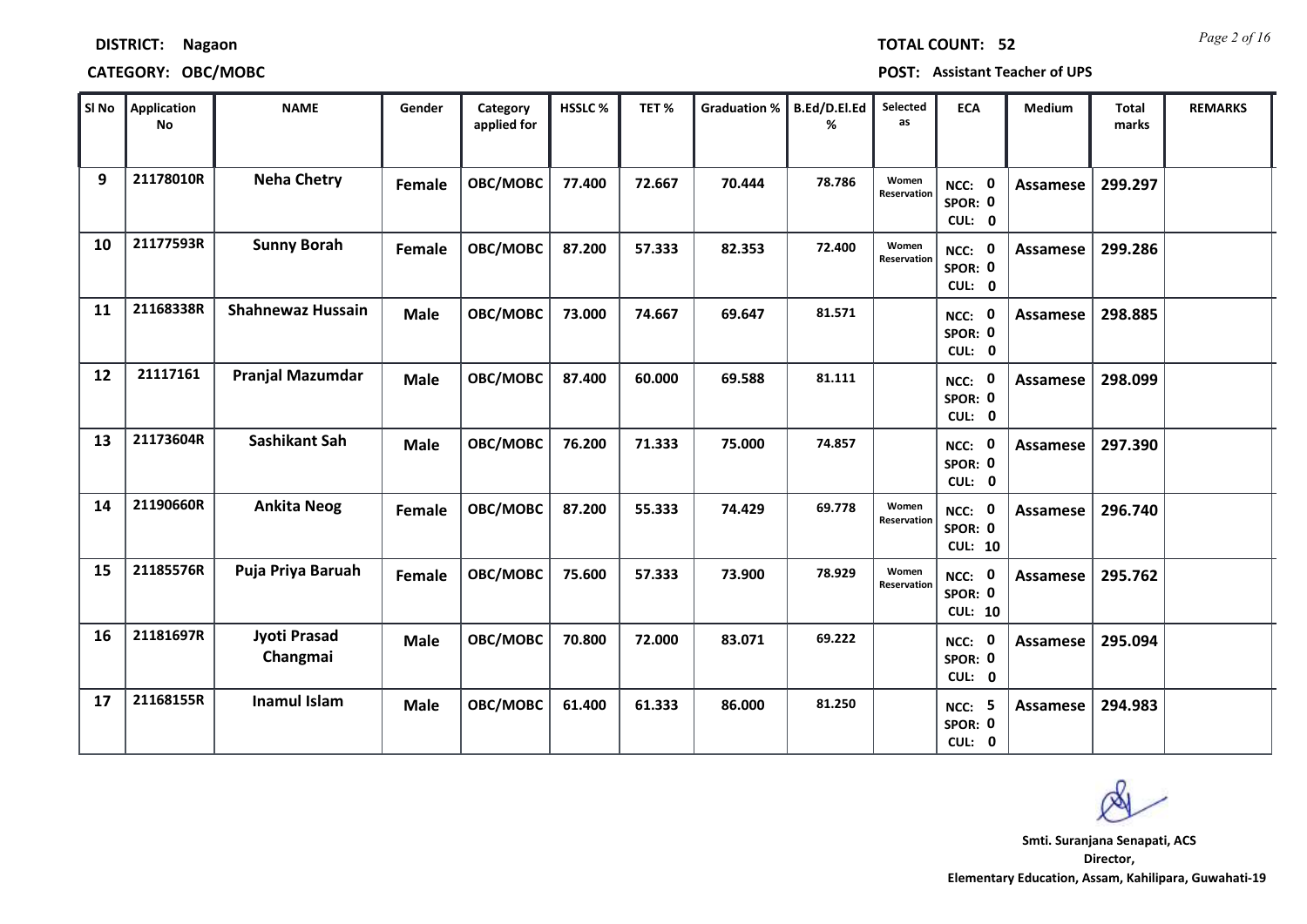|    | No        |                                 |             | applied for |        |        |        | %      | as                   |                                     |                 | marks   |  |
|----|-----------|---------------------------------|-------------|-------------|--------|--------|--------|--------|----------------------|-------------------------------------|-----------------|---------|--|
| 9  | 21178010R | <b>Neha Chetry</b>              | Female      | OBC/MOBC    | 77.400 | 72.667 | 70.444 | 78.786 | Women<br>Reservation | NCC: 0<br>SPOR: 0<br>CUL: 0         | Assamese        | 299.297 |  |
| 10 | 21177593R | <b>Sunny Borah</b>              | Female      | OBC/MOBC    | 87.200 | 57.333 | 82.353 | 72.400 | Women<br>Reservation | NCC: 0<br>SPOR: 0<br>CUL: 0         | Assamese        | 299.286 |  |
| 11 | 21168338R | <b>Shahnewaz Hussain</b>        | <b>Male</b> | OBC/MOBC    | 73.000 | 74.667 | 69.647 | 81.571 |                      | NCC: 0<br>SPOR: 0<br>CUL: 0         | Assamese        | 298.885 |  |
| 12 | 21117161  | <b>Pranjal Mazumdar</b>         | <b>Male</b> | OBC/MOBC    | 87.400 | 60.000 | 69.588 | 81.111 |                      | NCC: 0<br>SPOR: 0<br>CUL: 0         | <b>Assamese</b> | 298.099 |  |
| 13 | 21173604R | <b>Sashikant Sah</b>            | <b>Male</b> | OBC/MOBC    | 76.200 | 71.333 | 75.000 | 74.857 |                      | NCC: 0<br>SPOR: 0<br>CUL: 0         | Assamese        | 297.390 |  |
| 14 | 21190660R | <b>Ankita Neog</b>              | Female      | OBC/MOBC    | 87.200 | 55.333 | 74.429 | 69.778 | Women<br>Reservation | NCC: 0<br>SPOR: 0<br><b>CUL: 10</b> | Assamese        | 296.740 |  |
| 15 | 21185576R | Puja Priya Baruah               | Female      | OBC/MOBC    | 75.600 | 57.333 | 73.900 | 78.929 | Women<br>Reservation | NCC: 0<br>SPOR: 0<br><b>CUL: 10</b> | <b>Assamese</b> | 295.762 |  |
| 16 | 21181697R | <b>Jyoti Prasad</b><br>Changmai | <b>Male</b> | OBC/MOBC    | 70.800 | 72.000 | 83.071 | 69.222 |                      | <b>NCC: 0</b><br>SPOR: 0<br>CUL: 0  | Assamese        | 295.094 |  |
| 17 | 21168155R | <b>Inamul Islam</b>             | <b>Male</b> | OBC/MOBC    | 61.400 | 61.333 | 86.000 | 81.250 |                      | <b>NCC: 5</b><br>SPOR: 0<br>CUL: 0  | Assamese        | 294.983 |  |

 $\blacksquare$  **SI No**  $\blacksquare$  **B**  $\blacksquare$  **REMARKS**  $\blacksquare$  **Category**  $\blacksquare$  HSSLC %  $\blacksquare$  TET %  $\blacksquare$  Graduation %  $\blacksquare$  B.Ed/D.El.Ed  $\blacksquare$  Selected  $\blacksquare$  ECA  $\blacksquare$  Medium  $\blacksquare$  Total  $\blacksquare$  REMARKS

**Category** 

### **CATEGORY: OBC/MOBC POST: Assistant Teacher of UPS**

**SI No Application** 

**Director, Elementary Education, Assam, Kahilipara, Guwahati-19 Smti. Suranjana Senapati, ACS**

# *Page 2 of 16* **TOTAL COUNT: 52**

**DISTRICT: Nagaon**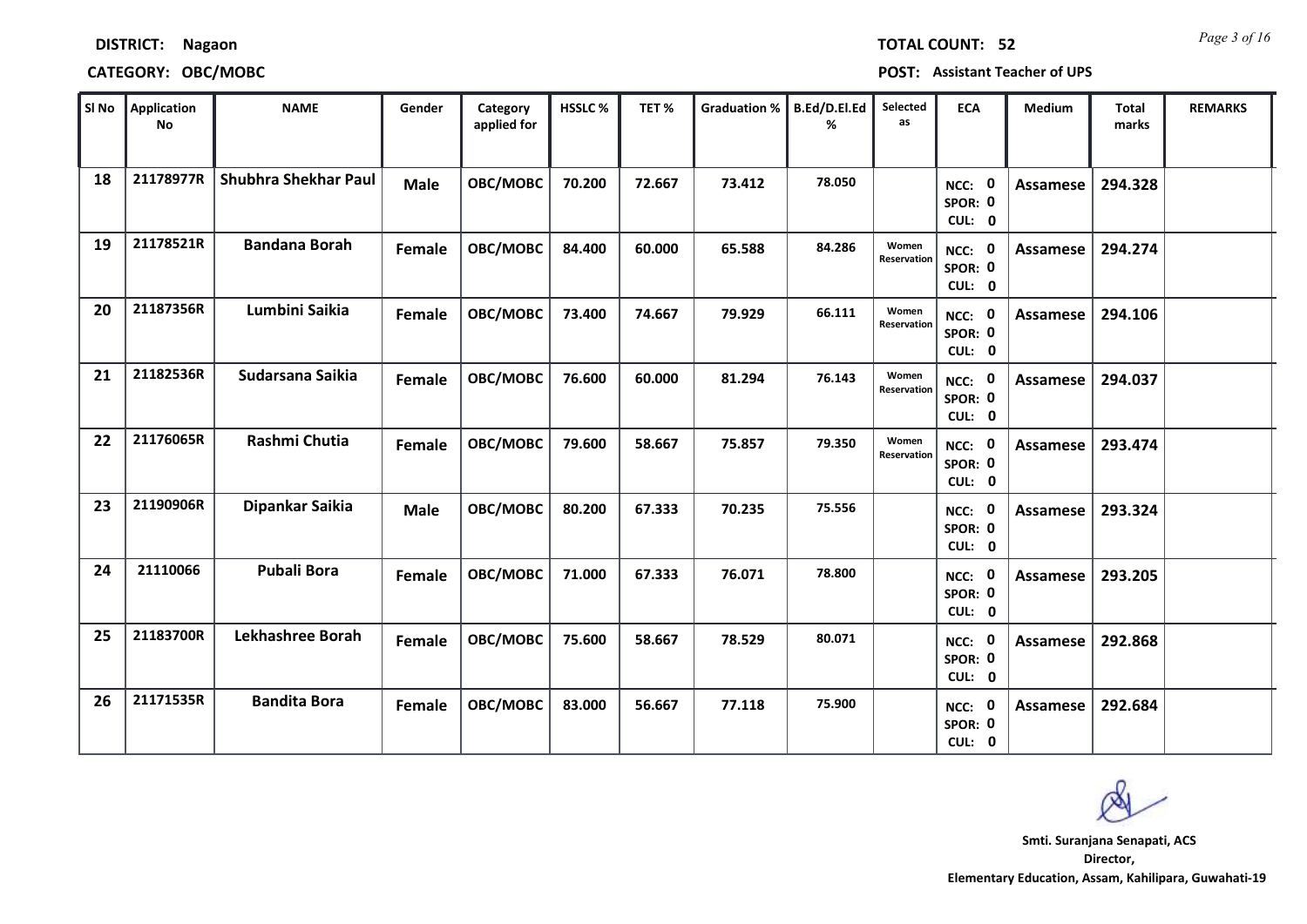|    | <b>No</b> |                             |               | applied for |        |        |        | ℅      | as                   |                             |                 | marks   |  |
|----|-----------|-----------------------------|---------------|-------------|--------|--------|--------|--------|----------------------|-----------------------------|-----------------|---------|--|
| 18 | 21178977R | <b>Shubhra Shekhar Paul</b> | <b>Male</b>   | OBC/MOBC    | 70.200 | 72.667 | 73.412 | 78.050 |                      | NCC: 0<br>SPOR: 0<br>CUL: 0 | Assamese        | 294.328 |  |
| 19 | 21178521R | <b>Bandana Borah</b>        | <b>Female</b> | OBC/MOBC    | 84.400 | 60.000 | 65.588 | 84.286 | Women<br>Reservation | NCC: 0<br>SPOR: 0<br>CUL: 0 | Assamese        | 294.274 |  |
| 20 | 21187356R | Lumbini Saikia              | Female        | OBC/MOBC    | 73.400 | 74.667 | 79.929 | 66.111 | Women<br>Reservation | NCC: 0<br>SPOR: 0<br>CUL: 0 | Assamese        | 294.106 |  |
| 21 | 21182536R | Sudarsana Saikia            | Female        | OBC/MOBC    | 76.600 | 60.000 | 81.294 | 76.143 | Women<br>Reservation | NCC: 0<br>SPOR: 0<br>CUL: 0 | Assamese        | 294.037 |  |
| 22 | 21176065R | Rashmi Chutia               | Female        | OBC/MOBC    | 79.600 | 58.667 | 75.857 | 79.350 | Women<br>Reservation | NCC: 0<br>SPOR: 0<br>CUL: 0 | Assamese        | 293.474 |  |
| 23 | 21190906R | Dipankar Saikia             | <b>Male</b>   | OBC/MOBC    | 80.200 | 67.333 | 70.235 | 75.556 |                      | NCC: 0<br>SPOR: 0<br>CUL: 0 | <b>Assamese</b> | 293.324 |  |
| 24 | 21110066  | <b>Pubali Bora</b>          | <b>Female</b> | OBC/MOBC    | 71.000 | 67.333 | 76.071 | 78.800 |                      | NCC: 0<br>SPOR: 0<br>CUL: 0 | Assamese        | 293.205 |  |
| 25 | 21183700R | Lekhashree Borah            | Female        | OBC/MOBC    | 75.600 | 58.667 | 78.529 | 80.071 |                      | NCC: 0<br>SPOR: 0<br>CUL: 0 | Assamese        | 292.868 |  |
| 26 | 21171535R | <b>Bandita Bora</b>         | Female        | OBC/MOBC    | 83.000 | 56.667 | 77.118 | 75.900 |                      | NCC: 0<br>SPOR: 0<br>CUL: 0 | <b>Assamese</b> | 292.684 |  |

 $\blacksquare$  **SI No**  $\blacksquare$  **B**  $\blacksquare$  **REMARKS**  $\blacksquare$  **Category**  $\blacksquare$  HSSLC %  $\blacksquare$  TET %  $\blacksquare$  Graduation %  $\blacksquare$  B.Ed/D.El.Ed  $\blacksquare$  Selected  $\blacksquare$  ECA  $\blacksquare$  Medium  $\blacksquare$  Total  $\blacksquare$  REMARKS

**Category** 

### **CATEGORY: OBC/MOBC POST: Assistant Teacher of UPS**

**DISTRICT: Nagaon**

**SI No Application**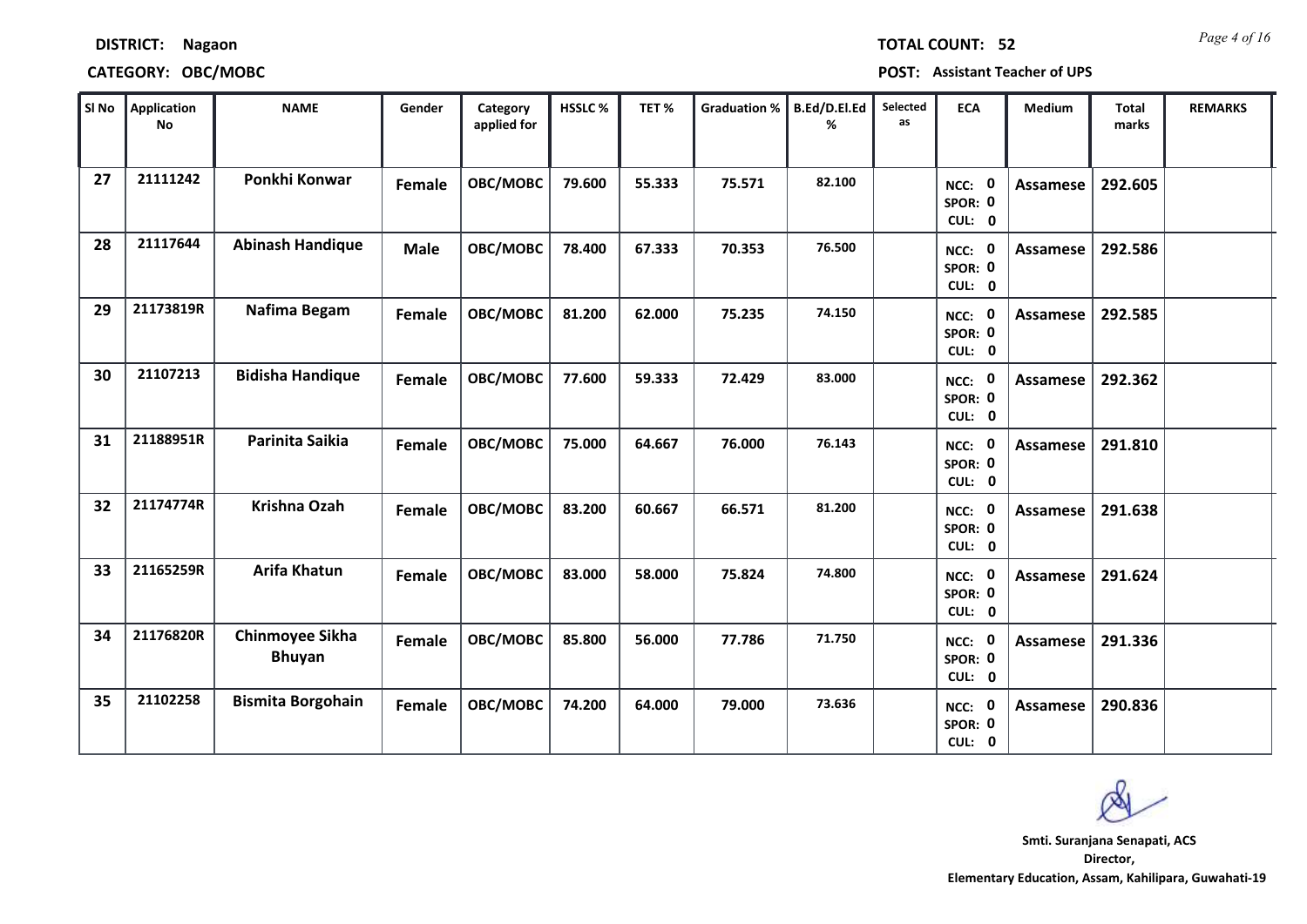| SI No | Application<br><b>No</b> | <b>NAME</b>                      | Gender      | Category<br>applied for | HSSLC% | TET%   | Graduation %   B.Ed/D.El.Ed | ℅      | Selected<br>as | <b>ECA</b>                         | Medium          | Total<br>marks | <b>REMARKS</b> |
|-------|--------------------------|----------------------------------|-------------|-------------------------|--------|--------|-----------------------------|--------|----------------|------------------------------------|-----------------|----------------|----------------|
| 27    | 21111242                 | Ponkhi Konwar                    | Female      | OBC/MOBC                | 79.600 | 55.333 | 75.571                      | 82.100 |                | NCC: 0<br>SPOR: 0<br>CUL: 0        | Assamese        | 292.605        |                |
| 28    | 21117644                 | <b>Abinash Handique</b>          | <b>Male</b> | OBC/MOBC                | 78.400 | 67.333 | 70.353                      | 76.500 |                | NCC: 0<br>SPOR: 0<br>CUL: 0        | Assamese        | 292.586        |                |
| 29    | 21173819R                | Nafima Begam                     | Female      | OBC/MOBC                | 81.200 | 62.000 | 75.235                      | 74.150 |                | NCC: 0<br>SPOR: 0<br>CUL: 0        | Assamese        | 292.585        |                |
| 30    | 21107213                 | <b>Bidisha Handique</b>          | Female      | OBC/MOBC                | 77.600 | 59.333 | 72.429                      | 83.000 |                | NCC: 0<br>SPOR: 0<br>CUL: 0        | <b>Assamese</b> | 292.362        |                |
| 31    | 21188951R                | Parinita Saikia                  | Female      | OBC/MOBC                | 75.000 | 64.667 | 76.000                      | 76.143 |                | NCC: 0<br>SPOR: 0<br>CUL: 0        | Assamese        | 291.810        |                |
| 32    | 21174774R                | Krishna Ozah                     | Female      | OBC/MOBC                | 83.200 | 60.667 | 66.571                      | 81.200 |                | NCC: 0<br>SPOR: 0<br>CUL: 0        | <b>Assamese</b> | 291.638        |                |
| 33    | 21165259R                | <b>Arifa Khatun</b>              | Female      | OBC/MOBC                | 83.000 | 58.000 | 75.824                      | 74.800 |                | NCC: 0<br>SPOR: 0<br>CUL: 0        | <b>Assamese</b> | 291.624        |                |
| 34    | 21176820R                | Chinmoyee Sikha<br><b>Bhuyan</b> | Female      | OBC/MOBC                | 85.800 | 56.000 | 77.786                      | 71.750 |                | NCC: 0<br>SPOR: 0<br>CUL: 0        | <b>Assamese</b> | 291.336        |                |
| 35    | 21102258                 | <b>Bismita Borgohain</b>         | Female      | OBC/MOBC                | 74.200 | 64.000 | 79.000                      | 73.636 |                | <b>NCC: 0</b><br>SPOR: 0<br>CUL: 0 | <b>Assamese</b> | 290.836        |                |

### **CATEGORY: OBC/MOBC POST: Assistant Teacher of UPS**

**DISTRICT: Nagaon**

**Director, Elementary Education, Assam, Kahilipara, Guwahati-19 Smti. Suranjana Senapati, ACS**

## *Page 4 of 16* **TOTAL COUNT: 52**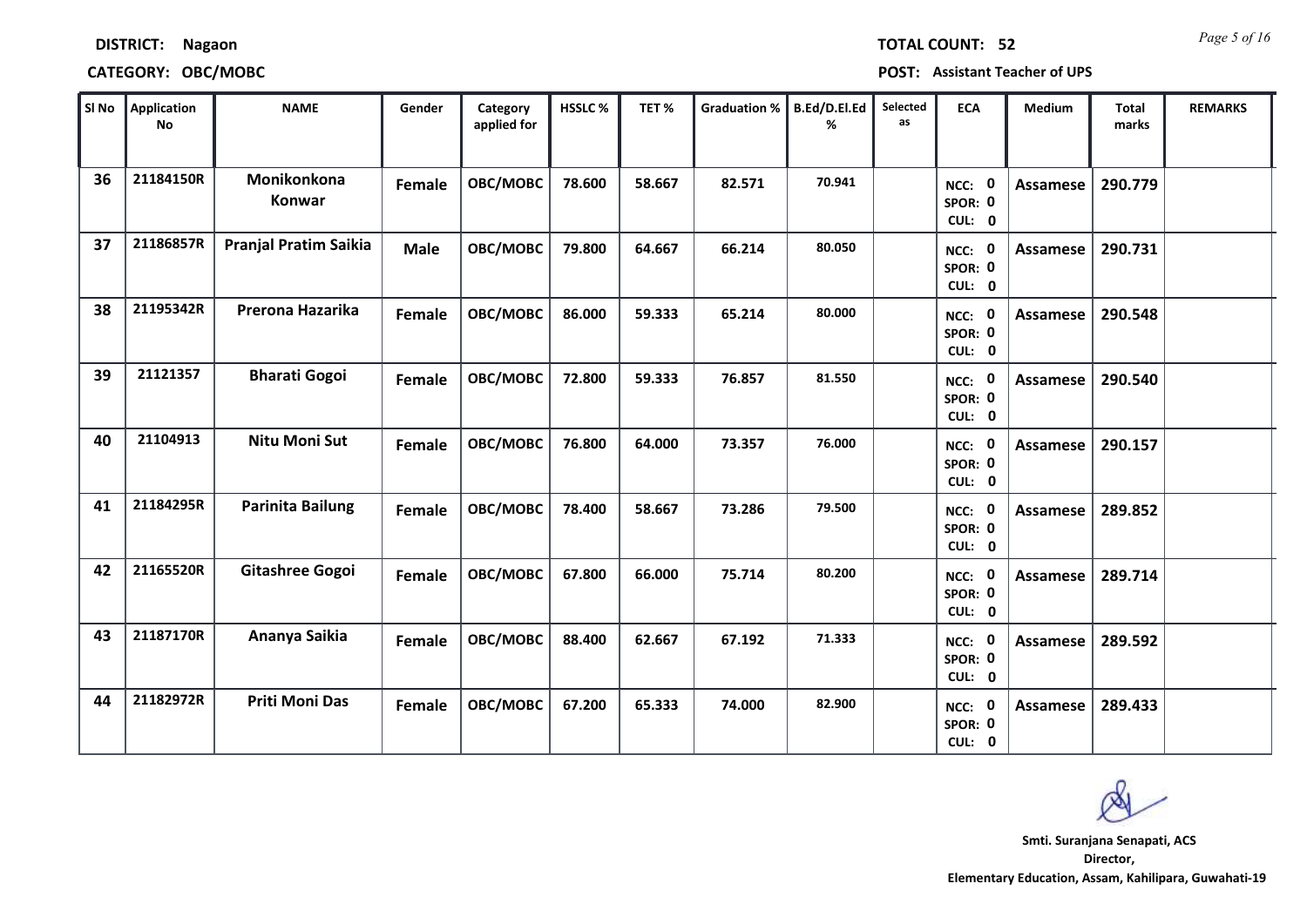### **CATEGORY: OBC/MOBC POST: Assistant Teacher of UPS**

| SI No | Application<br><b>No</b> | <b>NAME</b>                  | Gender        | Category<br>applied for | <b>HSSLC %</b> | TET%   | <b>Graduation %</b> | B.Ed/D.El.Ed<br>℅ | Selected<br>as | <b>ECA</b>                               | <b>Medium</b>   | <b>Total</b><br>marks | <b>REMARKS</b> |
|-------|--------------------------|------------------------------|---------------|-------------------------|----------------|--------|---------------------|-------------------|----------------|------------------------------------------|-----------------|-----------------------|----------------|
| 36    | 21184150R                | Monikonkona<br>Konwar        | Female        | OBC/MOBC                | 78.600         | 58.667 | 82.571              | 70.941            |                | 0<br>NCC:<br>SPOR: 0<br>CUL: 0           | <b>Assamese</b> | 290.779               |                |
| 37    | 21186857R                | <b>Pranjal Pratim Saikia</b> | <b>Male</b>   | OBC/MOBC                | 79.800         | 64.667 | 66.214              | 80.050            |                | NCC: 0<br>SPOR: 0<br>CUL: 0              | <b>Assamese</b> | 290.731               |                |
| 38    | 21195342R                | Prerona Hazarika             | Female        | OBC/MOBC                | 86.000         | 59.333 | 65.214              | 80.000            |                | NCC: 0<br>SPOR: 0<br>CUL: 0              | Assamese        | 290.548               |                |
| 39    | 21121357                 | <b>Bharati Gogoi</b>         | Female        | OBC/MOBC                | 72.800         | 59.333 | 76.857              | 81.550            |                | $\mathbf 0$<br>NCC:<br>SPOR: 0<br>CUL: 0 | Assamese        | 290.540               |                |
| 40    | 21104913                 | <b>Nitu Moni Sut</b>         | <b>Female</b> | OBC/MOBC                | 76.800         | 64.000 | 73.357              | 76.000            |                | NCC: 0<br>SPOR: 0<br>CUL: 0              | <b>Assamese</b> | 290.157               |                |
| 41    | 21184295R                | <b>Parinita Bailung</b>      | Female        | OBC/MOBC                | 78.400         | 58.667 | 73.286              | 79.500            |                | NCC: 0<br>SPOR: 0<br>CUL: 0              | <b>Assamese</b> | 289.852               |                |
| 42    | 21165520R                | <b>Gitashree Gogoi</b>       | Female        | OBC/MOBC                | 67.800         | 66.000 | 75.714              | 80.200            |                | NCC: 0<br>SPOR: 0<br>CUL: 0              | <b>Assamese</b> | 289.714               |                |
| 43    | 21187170R                | Ananya Saikia                | Female        | OBC/MOBC                | 88.400         | 62.667 | 67.192              | 71.333            |                | $\mathbf 0$<br>NCC:<br>SPOR: 0<br>CUL: 0 | <b>Assamese</b> | 289.592               |                |
| 44    | 21182972R                | <b>Priti Moni Das</b>        | Female        | OBC/MOBC                | 67.200         | 65.333 | 74.000              | 82.900            |                | 0<br>NCC:<br>SPOR: 0<br>CUL: 0           | <b>Assamese</b> | 289.433               |                |

**Director, Elementary Education, Assam, Kahilipara, Guwahati-19 Smti. Suranjana Senapati, ACS**

*Page 5 of 16* **TOTAL COUNT: 52**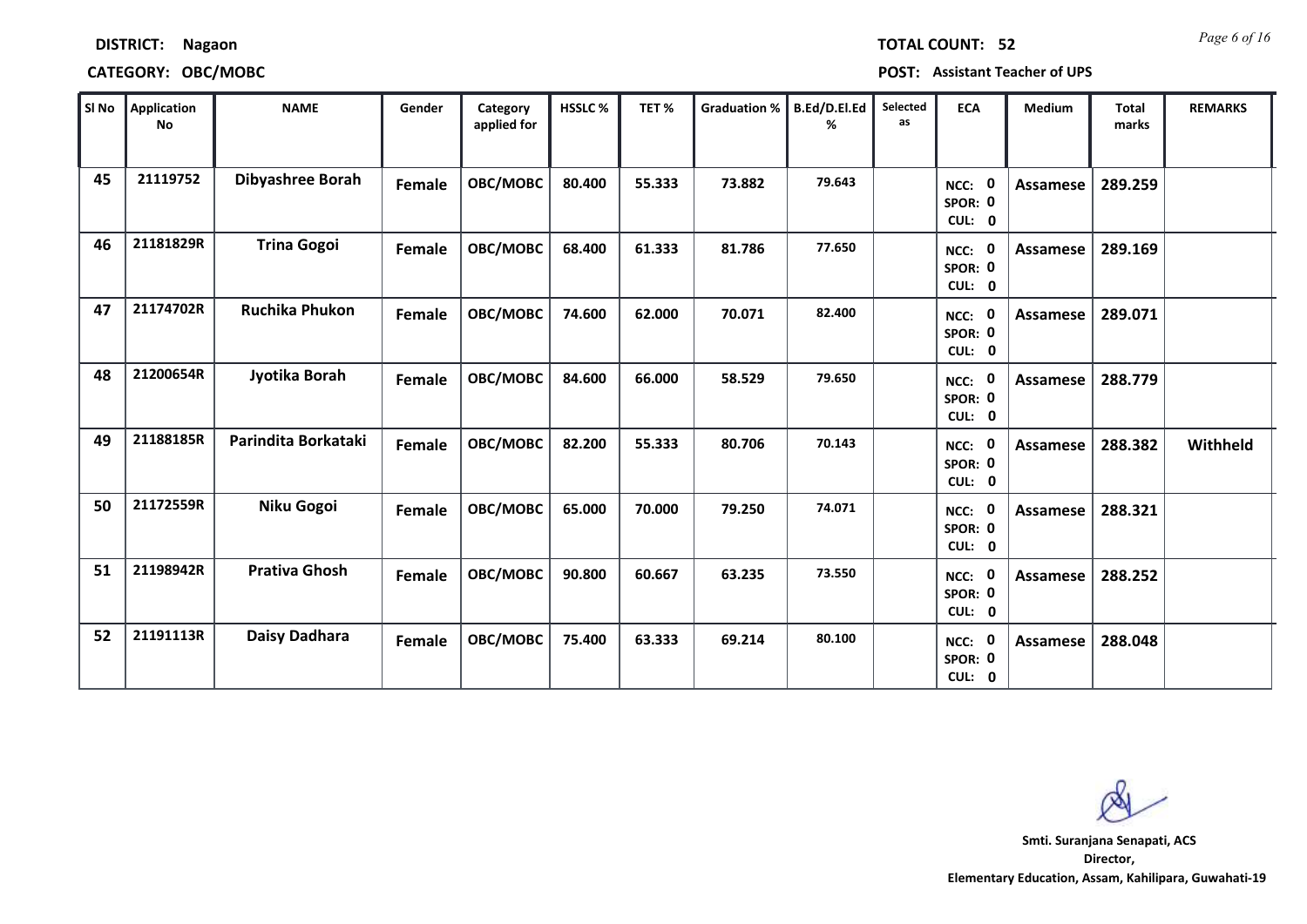| Sl No | Application<br>No | <b>NAME</b>           | Gender | Category<br>applied for | HSSLC% | TET%   | <b>Graduation %</b> | B.Ed/D.El.Ed<br>℅ | Selected<br>as | <b>ECA</b>                               | Medium          | <b>Total</b><br>marks | <b>REMARKS</b> |
|-------|-------------------|-----------------------|--------|-------------------------|--------|--------|---------------------|-------------------|----------------|------------------------------------------|-----------------|-----------------------|----------------|
| 45    | 21119752          | Dibyashree Borah      | Female | OBC/MOBC                | 80.400 | 55.333 | 73.882              | 79.643            |                | NCC: 0<br>SPOR: 0<br>CUL: 0              | Assamese        | 289.259               |                |
| 46    | 21181829R         | <b>Trina Gogoi</b>    | Female | OBC/MOBC                | 68.400 | 61.333 | 81.786              | 77.650            |                | NCC: 0<br>SPOR: 0<br>CUL: 0              | Assamese        | 289.169               |                |
| 47    | 21174702R         | <b>Ruchika Phukon</b> | Female | OBC/MOBC                | 74.600 | 62.000 | 70.071              | 82.400            |                | NCC: 0<br>SPOR: 0<br>CUL: 0              | Assamese        | 289.071               |                |
| 48    | 21200654R         | Jyotika Borah         | Female | OBC/MOBC                | 84.600 | 66.000 | 58.529              | 79.650            |                | NCC: 0<br>SPOR: 0<br>CUL: 0              | Assamese        | 288.779               |                |
| 49    | 21188185R         | Parindita Borkataki   | Female | OBC/MOBC                | 82.200 | 55.333 | 80.706              | 70.143            |                | NCC: 0<br>SPOR: 0<br>CUL: 0              | Assamese        | 288.382               | Withheld       |
| 50    | 21172559R         | Niku Gogoi            | Female | OBC/MOBC                | 65.000 | 70.000 | 79.250              | 74.071            |                | NCC: 0<br>SPOR: 0<br>CUL: 0              | Assamese        | 288.321               |                |
| 51    | 21198942R         | <b>Prativa Ghosh</b>  | Female | OBC/MOBC                | 90.800 | 60.667 | 63.235              | 73.550            |                | NCC: 0<br>SPOR: 0<br>CUL: 0              | <b>Assamese</b> | 288.252               |                |
| 52    | 21191113R         | Daisy Dadhara         | Female | OBC/MOBC                | 75.400 | 63.333 | 69.214              | 80.100            |                | $\mathbf 0$<br>NCC:<br>SPOR: 0<br>CUL: 0 | Assamese        | 288.048               |                |

### **CATEGORY: OBC/MOBC POST: Assistant Teacher of UPS**

**DISTRICT: Nagaon**

**Director, Elementary Education, Assam, Kahilipara, Guwahati-19 Smti. Suranjana Senapati, ACS**

*Page 6 of 16* **TOTAL COUNT: 52**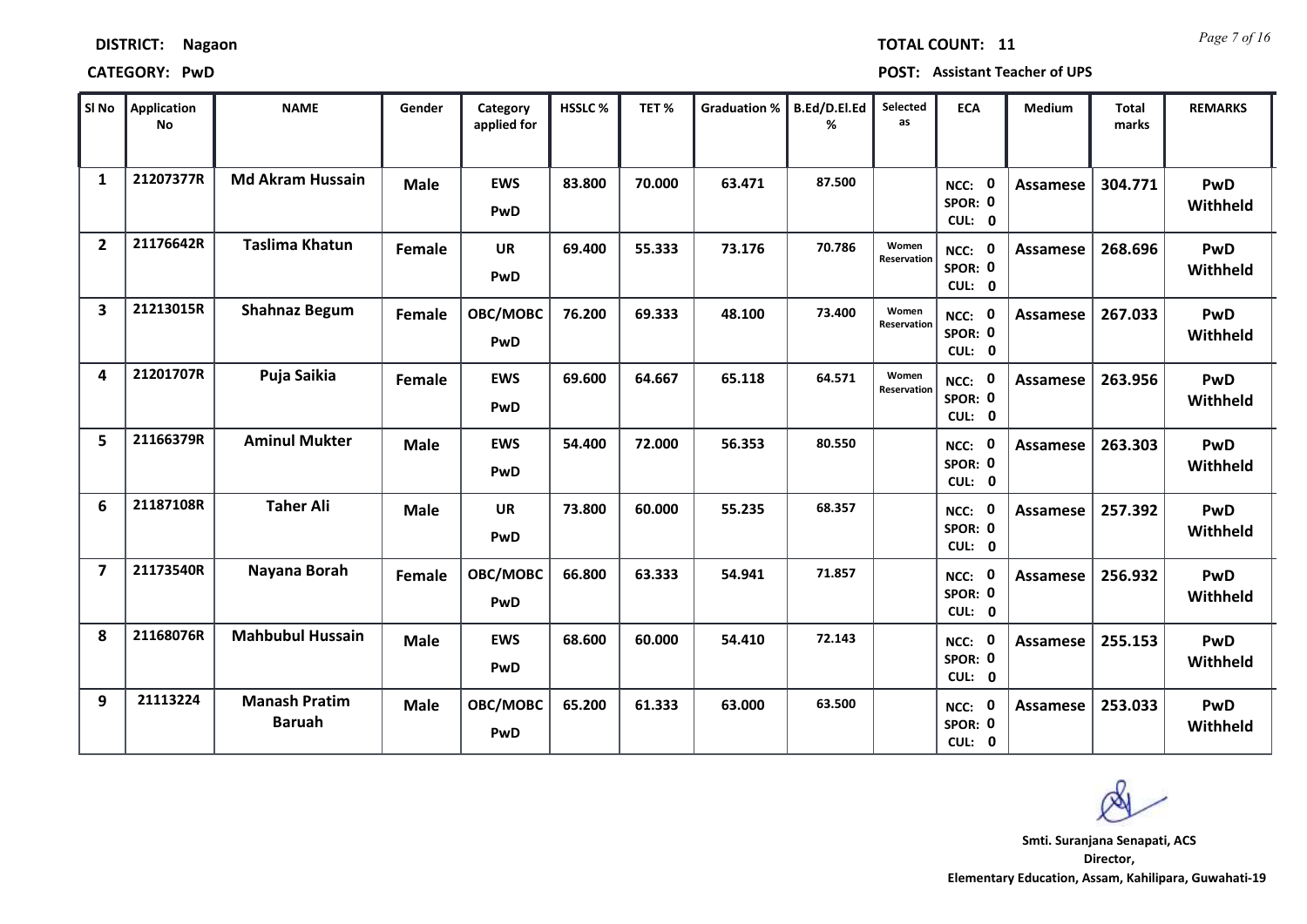| SI No                   | <b>Application</b><br><b>No</b> | <b>NAME</b>                           | Gender      | Category<br>applied for | HSSLC% | TET%   | <b>Graduation %</b> | B.Ed/D.El.Ed<br>% | Selected<br>as       | <b>ECA</b>                               | Medium          | <b>Total</b><br>marks | <b>REMARKS</b>         |
|-------------------------|---------------------------------|---------------------------------------|-------------|-------------------------|--------|--------|---------------------|-------------------|----------------------|------------------------------------------|-----------------|-----------------------|------------------------|
| $\mathbf{1}$            | 21207377R                       | <b>Md Akram Hussain</b>               | <b>Male</b> | <b>EWS</b><br>PwD       | 83.800 | 70.000 | 63.471              | 87.500            |                      | $\mathbf 0$<br>NCC:<br>SPOR: 0<br>CUL: 0 | Assamese        | 304.771               | PwD<br>Withheld        |
| $\overline{2}$          | 21176642R                       | <b>Taslima Khatun</b>                 | Female      | <b>UR</b><br>PwD        | 69.400 | 55.333 | 73.176              | 70.786            | Women<br>Reservation | NCC: 0<br>SPOR: 0<br>CUL: 0              | Assamese        | 268.696               | PwD<br>Withheld        |
| $\overline{\mathbf{3}}$ | 21213015R                       | <b>Shahnaz Begum</b>                  | Female      | OBC/MOBC<br>PwD         | 76.200 | 69.333 | 48.100              | 73.400            | Women<br>Reservation | $\mathbf 0$<br>NCC:<br>SPOR: 0<br>CUL: 0 | Assamese        | 267.033               | PwD<br>Withheld        |
| 4                       | 21201707R                       | Puja Saikia                           | Female      | <b>EWS</b><br>PwD       | 69.600 | 64.667 | 65.118              | 64.571            | Women<br>Reservation | NCC: 0<br>SPOR: 0<br>CUL: 0              | <b>Assamese</b> | 263.956               | PwD<br>Withheld        |
| 5                       | 21166379R                       | <b>Aminul Mukter</b>                  | <b>Male</b> | <b>EWS</b><br>PwD       | 54.400 | 72.000 | 56.353              | 80.550            |                      | NCC: 0<br>SPOR: 0<br>CUL: 0              | Assamese        | 263.303               | PwD<br>Withheld        |
| 6                       | 21187108R                       | <b>Taher Ali</b>                      | <b>Male</b> | <b>UR</b><br>PwD        | 73.800 | 60.000 | 55.235              | 68.357            |                      | NCC: 0<br>SPOR: 0<br>CUL: 0              | Assamese        | 257.392               | PwD<br>Withheld        |
| $\overline{7}$          | 21173540R                       | Nayana Borah                          | Female      | OBC/MOBC<br>PwD         | 66.800 | 63.333 | 54.941              | 71.857            |                      | $\mathbf 0$<br>NCC:<br>SPOR: 0<br>CUL: 0 | Assamese        | 256.932               | PwD<br>Withheld        |
| 8                       | 21168076R                       | <b>Mahbubul Hussain</b>               | <b>Male</b> | <b>EWS</b><br>PwD       | 68.600 | 60.000 | 54.410              | 72.143            |                      | $\mathbf 0$<br>NCC:<br>SPOR: 0<br>CUL: 0 | Assamese        | 255.153               | <b>PwD</b><br>Withheld |
| 9                       | 21113224                        | <b>Manash Pratim</b><br><b>Baruah</b> | <b>Male</b> | OBC/MOBC<br>PwD         | 65.200 | 61.333 | 63.000              | 63.500            |                      | $\mathbf 0$<br>NCC:<br>SPOR: 0<br>CUL: 0 | <b>Assamese</b> | 253.033               | PwD<br>Withheld        |

**DISTRICT: Nagaon**

### **CATEGORY: PwD POST: Assistant Teacher of UPS**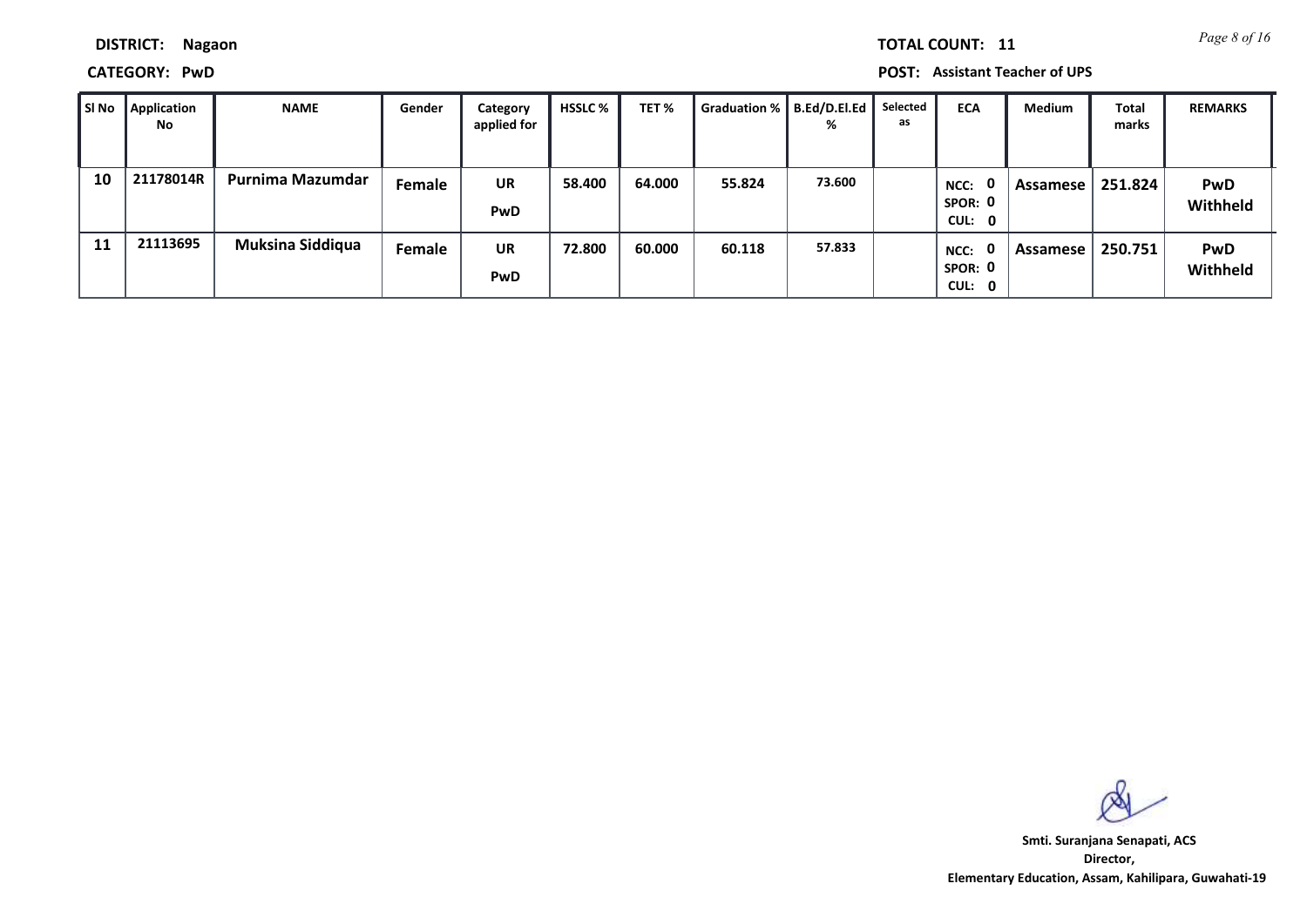*Page 8 of 16* **TOTAL COUNT: 11**

**DISTRICT: Nagaon**

**CATEGORY: PwD POST: Assistant Teacher of UPS**

| l SI No | Application<br>No | <b>NAME</b>             | Gender | Category<br>applied for | <b>HSSLC</b> % | TET %  | <b>Graduation %</b> | B.Ed/D.El.Ed<br>% | Selected<br>as | <b>ECA</b>                                  | Medium   | Total<br>marks | <b>REMARKS</b>         |
|---------|-------------------|-------------------------|--------|-------------------------|----------------|--------|---------------------|-------------------|----------------|---------------------------------------------|----------|----------------|------------------------|
| 10      | 21178014R         | Purnima Mazumdar        | Female | UR<br>PwD               | 58.400         | 64.000 | 55.824              | 73.600            |                | 0<br>NCC:<br>SPOR: 0<br>CUL: 0              | Assamese | 251.824        | <b>PwD</b><br>Withheld |
| 11      | 21113695          | <b>Muksina Siddiqua</b> | Female | UR<br>PwD               | 72.800         | 60.000 | 60.118              | 57.833            |                | 0<br>NCC:<br>SPOR: 0<br>CUL:<br>$\mathbf 0$ | Assamese | 250.751        | <b>PwD</b><br>Withheld |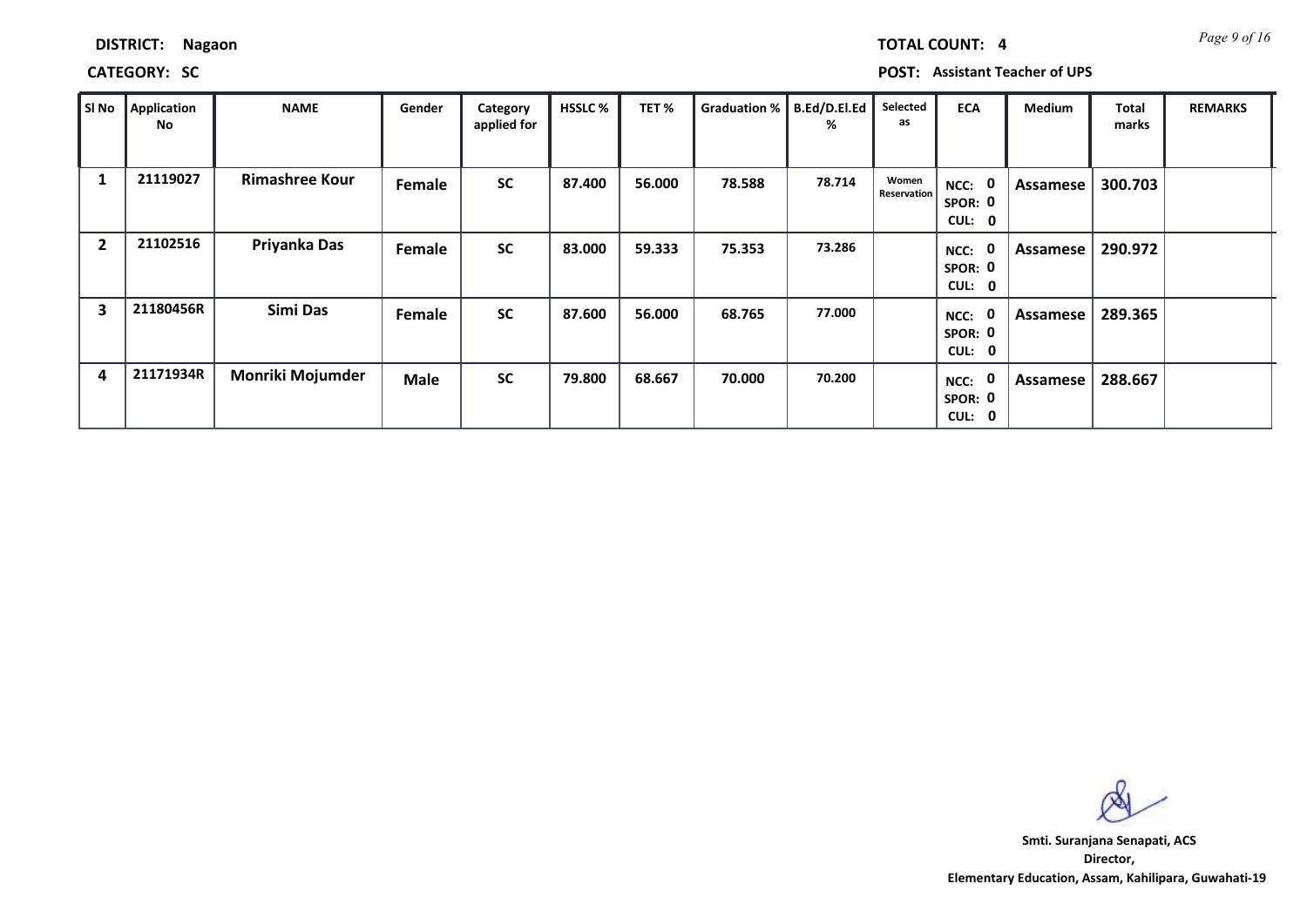**CATEGORY: SC POST: Assistant Teacher of UPS**

| SI No          | Application<br>No | <b>NAME</b>           | Gender      | Category<br>applied for | <b>HSSLC %</b> | TET%   | Graduation %   B.Ed/D.El.Ed | %      | Selected<br>as       | <b>ECA</b>                                                   | Medium   | Total<br>marks | <b>REMARKS</b> |
|----------------|-------------------|-----------------------|-------------|-------------------------|----------------|--------|-----------------------------|--------|----------------------|--------------------------------------------------------------|----------|----------------|----------------|
| 1              | 21119027          | <b>Rimashree Kour</b> | Female      | <b>SC</b>               | 87.400         | 56.000 | 78.588                      | 78.714 | Women<br>Reservation | NCC:<br>$\mathbf 0$<br>SPOR: 0<br><b>CUL:</b><br>$\mathbf 0$ | Assamese | 300.703        |                |
| $\overline{2}$ | 21102516          | Priyanka Das          | Female      | <b>SC</b>               | 83.000         | 59.333 | 75.353                      | 73.286 |                      | $\mathbf 0$<br>NCC:<br>SPOR: 0<br>CUL: 0                     | Assamese | 290.972        |                |
| 3              | 21180456R         | Simi Das              | Female      | <b>SC</b>               | 87.600         | 56.000 | 68.765                      | 77.000 |                      | 0<br>NCC:<br>SPOR: 0<br>CUL:<br>0                            | Assamese | 289.365        |                |
| 4              | 21171934R         | Monriki Mojumder      | <b>Male</b> | <b>SC</b>               | 79.800         | 68.667 | 70.000                      | 70.200 |                      | 0<br>NCC:<br>SPOR: 0<br>CUL:<br>$\mathbf 0$                  | Assamese | 288.667        |                |

**Director, Elementary Education, Assam, Kahilipara, Guwahati-19 Smti. Suranjana Senapati, ACS**

*Page 9 of 16* **TOTAL COUNT: 4**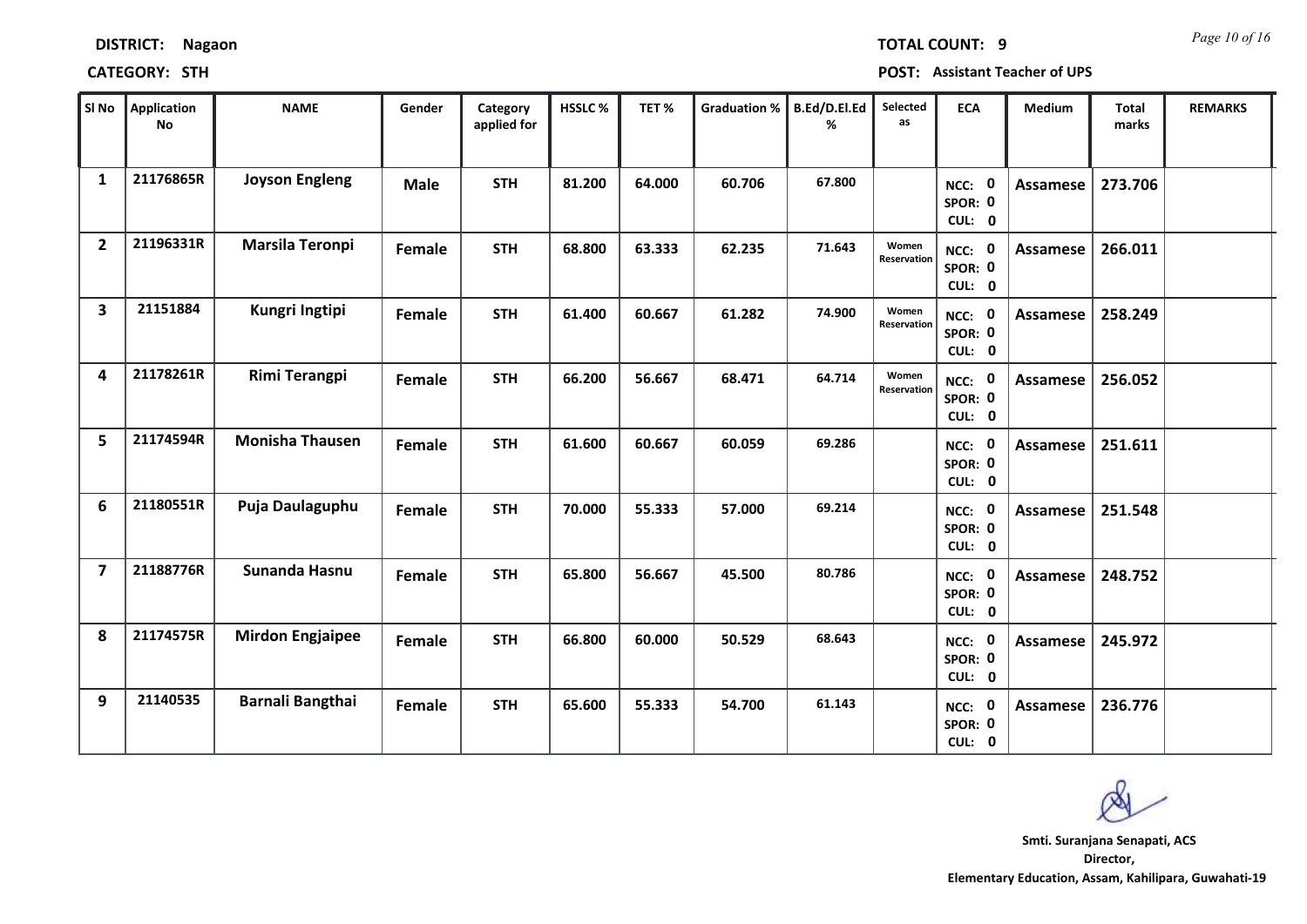| SI No                   | Application<br>No | <b>NAME</b>             | Gender      | Category<br>applied for | HSSLC% | TET%   | <b>Graduation %</b> | B.Ed/D.El.Ed<br>% | Selected<br>as       | <b>ECA</b>                     | Medium          | <b>Total</b><br>marks | <b>REMARKS</b> |
|-------------------------|-------------------|-------------------------|-------------|-------------------------|--------|--------|---------------------|-------------------|----------------------|--------------------------------|-----------------|-----------------------|----------------|
| $\mathbf{1}$            | 21176865R         | <b>Joyson Engleng</b>   | <b>Male</b> | <b>STH</b>              | 81.200 | 64.000 | 60.706              | 67.800            |                      | NCC: 0<br>SPOR: 0<br>CUL: 0    | Assamese        | 273.706               |                |
| $\overline{2}$          | 21196331R         | <b>Marsila Teronpi</b>  | Female      | <b>STH</b>              | 68.800 | 63.333 | 62.235              | 71.643            | Women<br>Reservation | NCC: 0<br>SPOR: 0<br>CUL: 0    | Assamese        | 266.011               |                |
| $\overline{\mathbf{3}}$ | 21151884          | Kungri Ingtipi          | Female      | <b>STH</b>              | 61.400 | 60.667 | 61.282              | 74.900            | Women<br>Reservation | NCC: 0<br>SPOR: 0<br>CUL: 0    | <b>Assamese</b> | 258.249               |                |
| 4                       | 21178261R         | Rimi Terangpi           | Female      | <b>STH</b>              | 66.200 | 56.667 | 68.471              | 64.714            | Women<br>Reservation | NCC: 0<br>SPOR: 0<br>CUL: 0    | <b>Assamese</b> | 256.052               |                |
| 5                       | 21174594R         | <b>Monisha Thausen</b>  | Female      | <b>STH</b>              | 61.600 | 60.667 | 60.059              | 69.286            |                      | NCC: 0<br>SPOR: 0<br>CUL: 0    | Assamese        | 251.611               |                |
| 6                       | 21180551R         | Puja Daulaguphu         | Female      | <b>STH</b>              | 70.000 | 55.333 | 57.000              | 69.214            |                      | NCC: 0<br>SPOR: 0<br>CUL: 0    | Assamese        | 251.548               |                |
| $\overline{7}$          | 21188776R         | Sunanda Hasnu           | Female      | <b>STH</b>              | 65.800 | 56.667 | 45.500              | 80.786            |                      | NCC: 0<br>SPOR: 0<br>CUL: 0    | Assamese        | 248.752               |                |
| 8                       | 21174575R         | <b>Mirdon Engjaipee</b> | Female      | <b>STH</b>              | 66.800 | 60.000 | 50.529              | 68.643            |                      | NCC: 0<br>SPOR: 0<br>CUL: 0    | Assamese        | 245.972               |                |
| 9                       | 21140535          | Barnali Bangthai        | Female      | <b>STH</b>              | 65.600 | 55.333 | 54.700              | 61.143            |                      | 0<br>NCC:<br>SPOR: 0<br>CUL: 0 | <b>Assamese</b> | 236.776               |                |

**Director, Elementary Education, Assam, Kahilipara, Guwahati-19 Smti. Suranjana Senapati, ACS**

**DISTRICT: Nagaon**

### **CATEGORY: STH POST: Assistant Teacher of UPS**

*Page 10 of 16* **TOTAL COUNT: 9**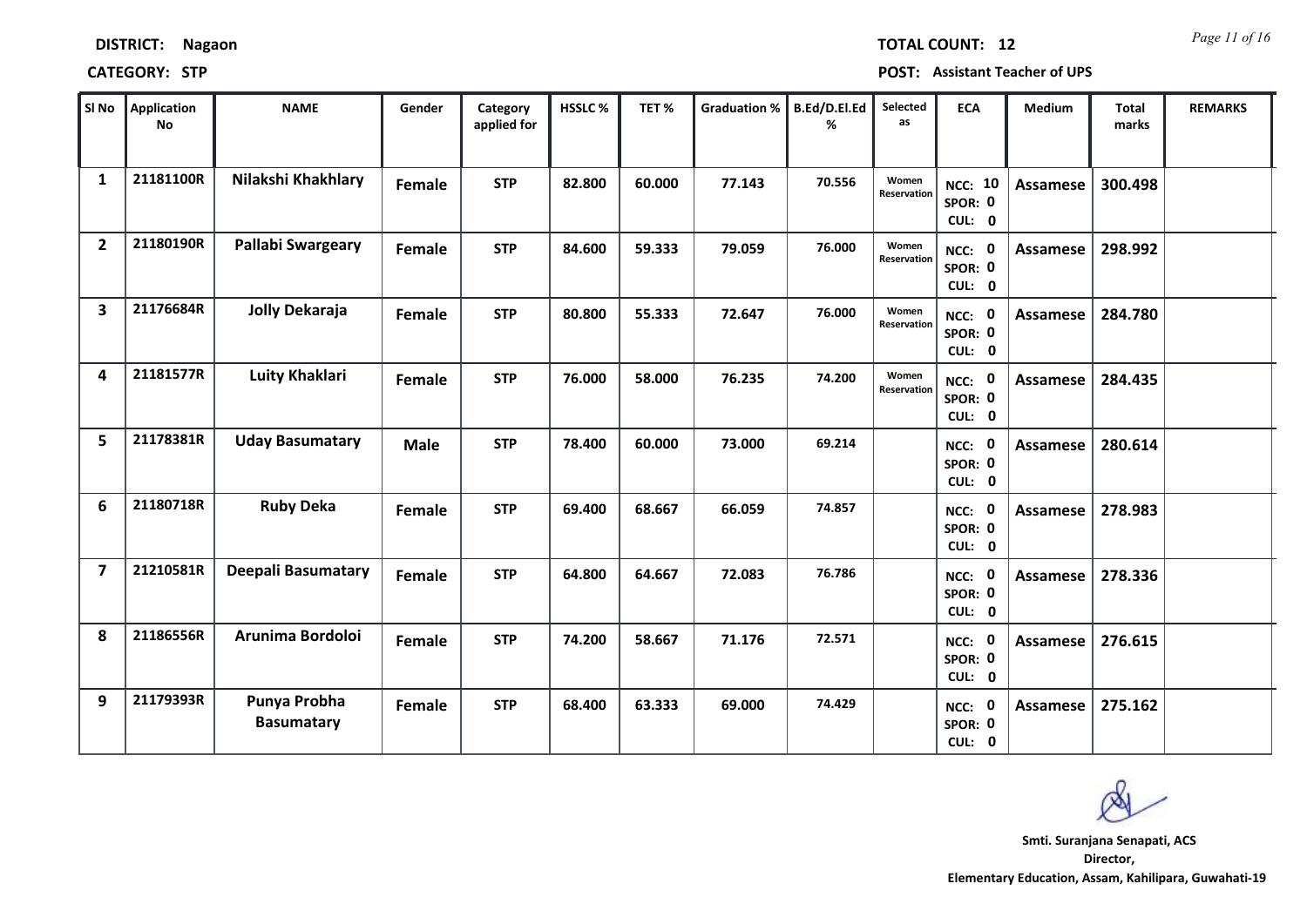| SI No                   | <b>Application</b><br>No | <b>NAME</b>                       | Gender        | Category<br>applied for | HSSLC% | TET%   | Graduation % | B.Ed/D.El.Ed<br>% | Selected<br>as              | <b>ECA</b>                          | Medium          | <b>Total</b><br>marks | <b>REMARKS</b> |
|-------------------------|--------------------------|-----------------------------------|---------------|-------------------------|--------|--------|--------------|-------------------|-----------------------------|-------------------------------------|-----------------|-----------------------|----------------|
| $\mathbf{1}$            | 21181100R                | Nilakshi Khakhlary                | <b>Female</b> | <b>STP</b>              | 82.800 | 60.000 | 77.143       | 70.556            | Women<br>Reservation        | <b>NCC: 10</b><br>SPOR: 0<br>CUL: 0 | <b>Assamese</b> | 300.498               |                |
| $\overline{2}$          | 21180190R                | Pallabi Swargeary                 | Female        | <b>STP</b>              | 84.600 | 59.333 | 79.059       | 76.000            | Women<br><b>Reservation</b> | NCC: 0<br>SPOR: 0<br>CUL: 0         | Assamese        | 298.992               |                |
| $\overline{\mathbf{3}}$ | 21176684R                | Jolly Dekaraja                    | <b>Female</b> | <b>STP</b>              | 80.800 | 55.333 | 72.647       | 76.000            | Women<br>Reservation        | NCC: 0<br>SPOR: 0<br>CUL: 0         | <b>Assamese</b> | 284.780               |                |
| 4                       | 21181577R                | <b>Luity Khaklari</b>             | Female        | <b>STP</b>              | 76.000 | 58.000 | 76.235       | 74.200            | Women<br><b>Reservation</b> | NCC: 0<br>SPOR: 0<br>CUL: 0         | Assamese        | 284.435               |                |
| 5.                      | 21178381R                | <b>Uday Basumatary</b>            | <b>Male</b>   | <b>STP</b>              | 78.400 | 60.000 | 73.000       | 69.214            |                             | NCC: 0<br>SPOR: 0<br>CUL: 0         | Assamese        | 280.614               |                |
| 6                       | 21180718R                | <b>Ruby Deka</b>                  | Female        | <b>STP</b>              | 69.400 | 68.667 | 66.059       | 74.857            |                             | NCC: 0<br>SPOR: 0<br>CUL: 0         | Assamese        | 278.983               |                |
| $\overline{7}$          | 21210581R                | Deepali Basumatary                | Female        | <b>STP</b>              | 64.800 | 64.667 | 72.083       | 76.786            |                             | NCC: 0<br>SPOR: 0<br>CUL: 0         | Assamese        | 278.336               |                |
| 8                       | 21186556R                | Arunima Bordoloi                  | Female        | <b>STP</b>              | 74.200 | 58.667 | 71.176       | 72.571            |                             | NCC: 0<br>SPOR: 0<br>CUL: 0         | <b>Assamese</b> | 276.615               |                |
| 9                       | 21179393R                | Punya Probha<br><b>Basumatary</b> | Female        | <b>STP</b>              | 68.400 | 63.333 | 69.000       | 74.429            |                             | NCC: 0<br>SPOR: 0<br>CUL: 0         | Assamese        | 275.162               |                |

# **DISTRICT: Nagaon**

### **CATEGORY: STP POST: Assistant Teacher of UPS**

*Page 11 of 16* **TOTAL COUNT: 12**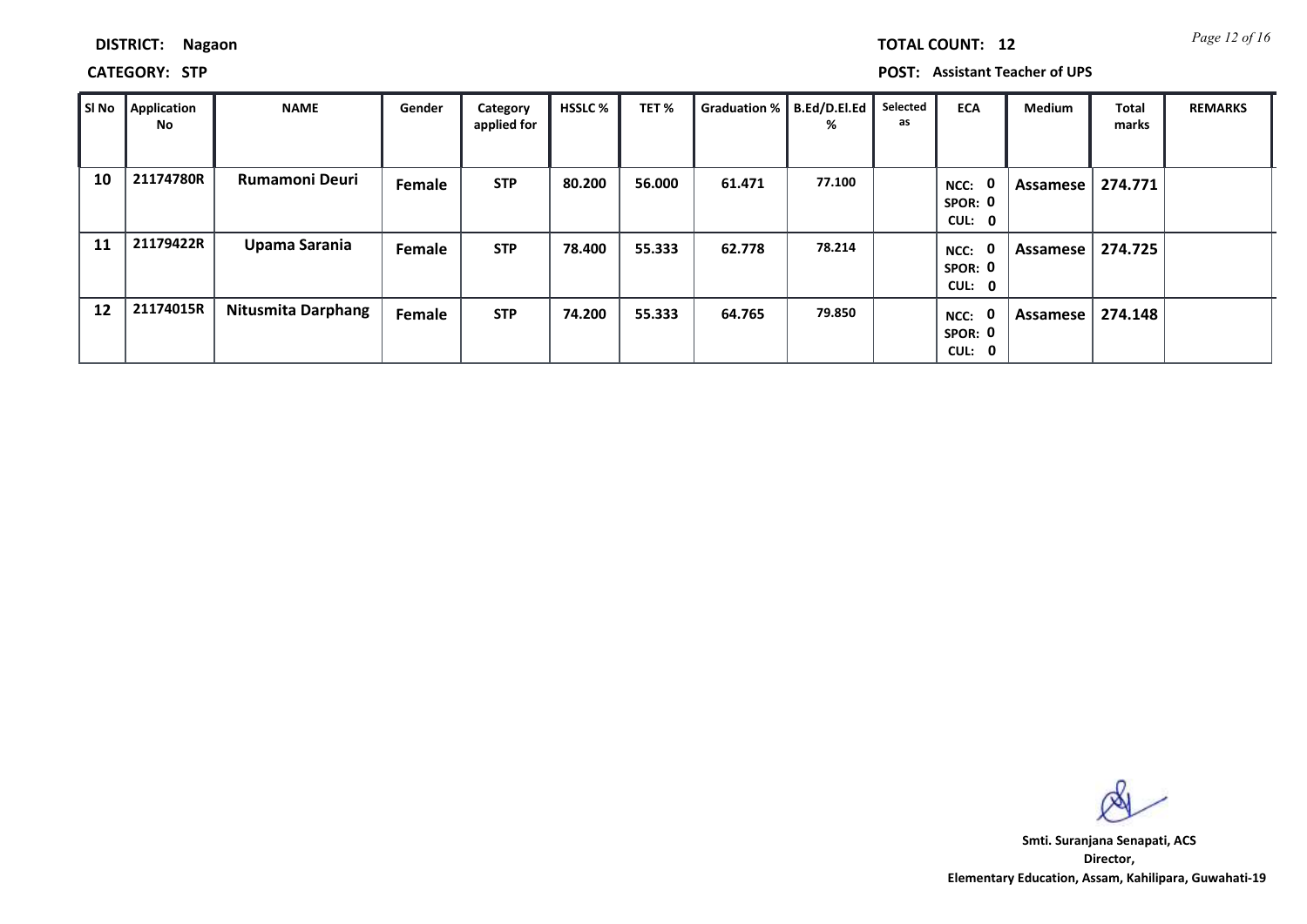|  |  | <b>TOTAL CO</b> |
|--|--|-----------------|
|  |  |                 |

**DISTRICT: Nagaon**

**CATEGORY: STP POST: Assistant Teacher of UPS**

| SI No | <b>Application</b><br>No | <b>NAME</b>               | Gender | Category<br>applied for | <b>HSSLC %</b> | TET %  | Graduation %   B.Ed/D.El.Ed | %      | Selected<br>as | <b>ECA</b>                       | <b>Medium</b> | Total<br>marks | <b>REMARKS</b> |
|-------|--------------------------|---------------------------|--------|-------------------------|----------------|--------|-----------------------------|--------|----------------|----------------------------------|---------------|----------------|----------------|
| 10    | 21174780R                | <b>Rumamoni Deuri</b>     | Female | <b>STP</b>              | 80.200         | 56.000 | 61.471                      | 77.100 |                | - 0<br>NCC:<br>SPOR: 0<br>CUL: 0 | Assamese      | 274.771        |                |
| 11    | 21179422R                | Upama Sarania             | Female | <b>STP</b>              | 78.400         | 55.333 | 62.778                      | 78.214 |                | - 0<br>NCC:<br>SPOR: 0<br>CUL: 0 | Assamese I    | 274.725        |                |
| 12    | 21174015R                | <b>Nitusmita Darphang</b> | Female | <b>STP</b>              | 74.200         | 55.333 | 64.765                      | 79.850 |                | - 0<br>NCC:<br>SPOR: 0<br>CUL: 0 | Assamese      | 274.148        |                |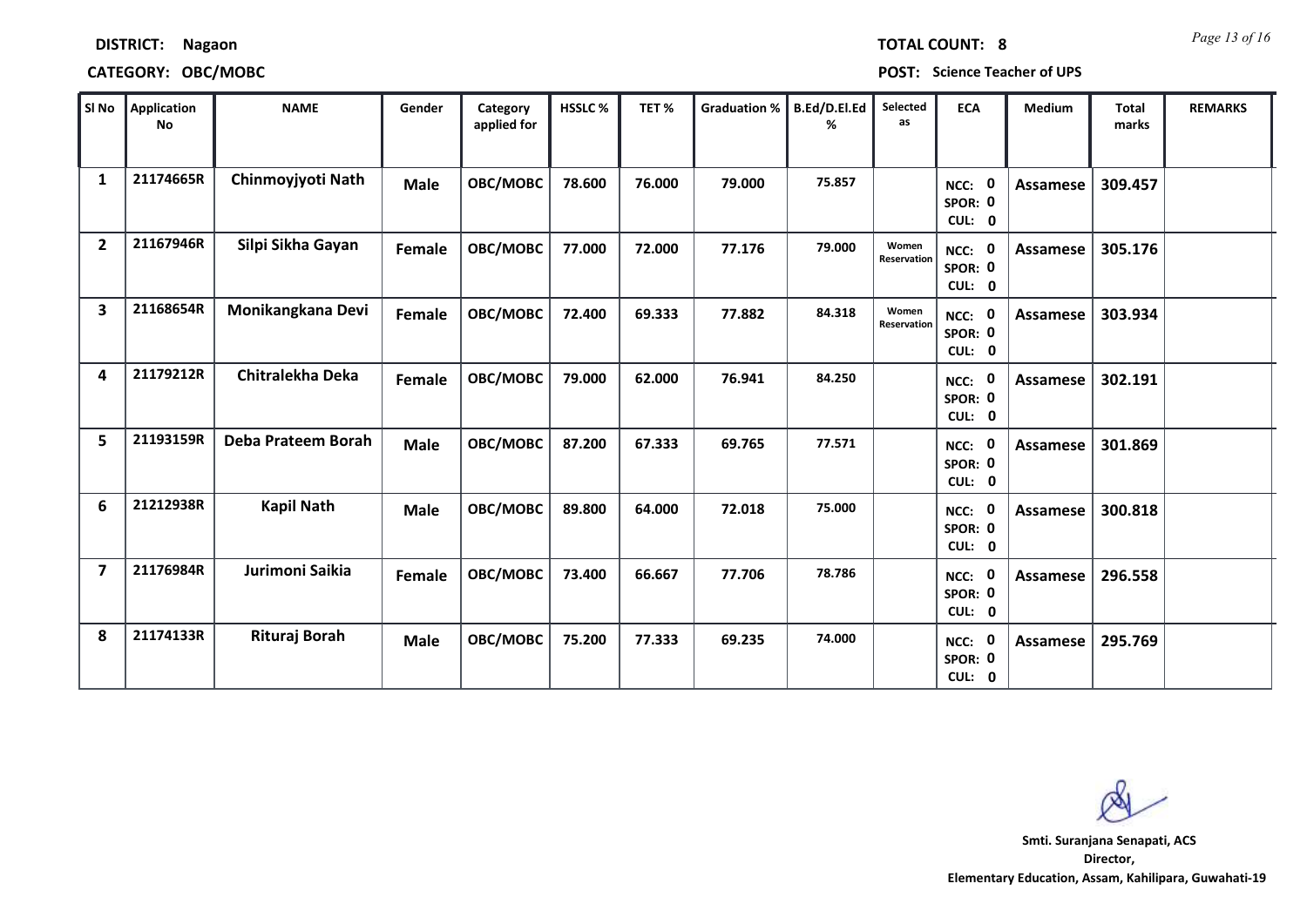| SI No          | Application<br>No | <b>NAME</b>        | Gender      | Category<br>applied for | HSSLC% | TET%   | <b>Graduation %</b> | B.Ed/D.El.Ed<br>% | Selected<br>as       | <b>ECA</b>                               | Medium          | <b>Total</b><br>marks | <b>REMARKS</b> |
|----------------|-------------------|--------------------|-------------|-------------------------|--------|--------|---------------------|-------------------|----------------------|------------------------------------------|-----------------|-----------------------|----------------|
| $\mathbf{1}$   | 21174665R         | Chinmoyjyoti Nath  | <b>Male</b> | OBC/MOBC                | 78.600 | 76.000 | 79.000              | 75.857            |                      | NCC: 0<br>SPOR: 0<br>CUL: 0              | <b>Assamese</b> | 309.457               |                |
| $\overline{2}$ | 21167946R         | Silpi Sikha Gayan  | Female      | OBC/MOBC                | 77.000 | 72.000 | 77.176              | 79.000            | Women<br>Reservation | NCC: 0<br>SPOR: 0<br>CUL: 0              | <b>Assamese</b> | 305.176               |                |
| 3              | 21168654R         | Monikangkana Devi  | Female      | OBC/MOBC                | 72.400 | 69.333 | 77.882              | 84.318            | Women<br>Reservation | NCC: 0<br>SPOR: 0<br>CUL: 0              | <b>Assamese</b> | 303.934               |                |
| 4              | 21179212R         | Chitralekha Deka   | Female      | OBC/MOBC                | 79.000 | 62.000 | 76.941              | 84.250            |                      | $\mathbf 0$<br>NCC:<br>SPOR: 0<br>CUL: 0 | Assamese        | 302.191               |                |
| 5              | 21193159R         | Deba Prateem Borah | <b>Male</b> | OBC/MOBC                | 87.200 | 67.333 | 69.765              | 77.571            |                      | NCC: 0<br>SPOR: 0<br>CUL: 0              | <b>Assamese</b> | 301.869               |                |
| 6              | 21212938R         | <b>Kapil Nath</b>  | <b>Male</b> | OBC/MOBC                | 89.800 | 64.000 | 72.018              | 75.000            |                      | - 0<br>NCC:<br>SPOR: 0<br>CUL: 0         | <b>Assamese</b> | 300.818               |                |
| $\overline{7}$ | 21176984R         | Jurimoni Saikia    | Female      | OBC/MOBC                | 73.400 | 66.667 | 77.706              | 78.786            |                      | NCC: 0<br>SPOR: 0<br>CUL: 0              | <b>Assamese</b> | 296.558               |                |
| 8              | 21174133R         | Rituraj Borah      | <b>Male</b> | OBC/MOBC                | 75.200 | 77.333 | 69.235              | 74.000            |                      | 0<br>NCC:<br>SPOR: 0<br>CUL: 0           | Assamese        | 295.769               |                |

**CATEGORY: OBC/MOBC POST: Science Teacher of UPS**

**DISTRICT: Nagaon**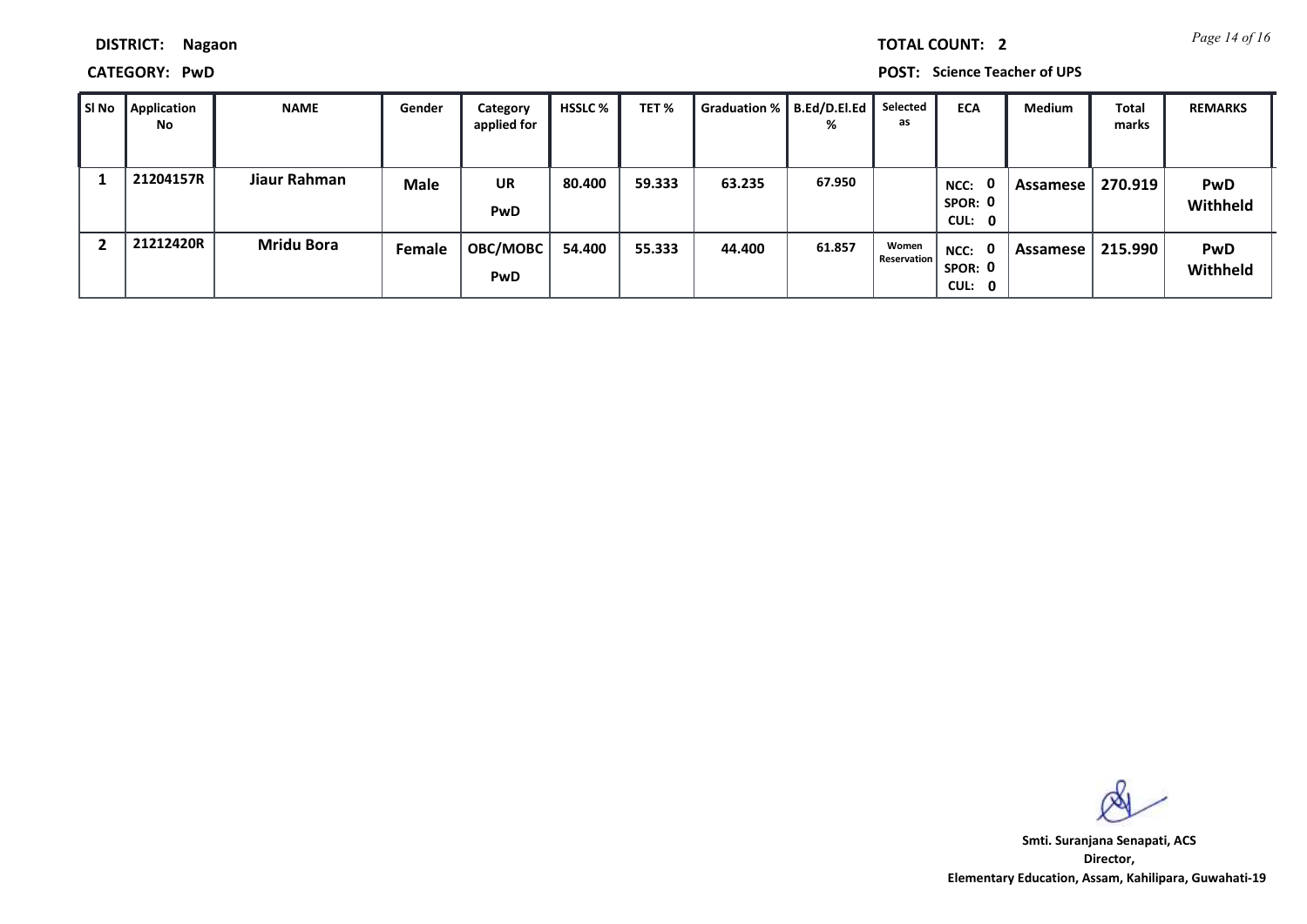*Page 14 of 16* **TOTAL COUNT: 2**

**DISTRICT: Nagaon**

**CATEGORY: PwD POST: Science Teacher of UPS**

| ∥ SI No | Application<br>No | <b>NAME</b>       | Gender      | Category<br>applied for | <b>HSSLC</b> % | TET %  | Graduation %   B.Ed/D.El.Ed | ℅      | Selected<br>as              | <b>ECA</b>                     | <b>Medium</b> | <b>Total</b><br>marks | <b>REMARKS</b>         |
|---------|-------------------|-------------------|-------------|-------------------------|----------------|--------|-----------------------------|--------|-----------------------------|--------------------------------|---------------|-----------------------|------------------------|
|         | 21204157R         | Jiaur Rahman      | <b>Male</b> | <b>UR</b><br>PwD        | 80.400         | 59.333 | 63.235                      | 67.950 |                             | 0<br>NCC:<br>SPOR: 0<br>CUL: 0 | Assamese      | 270.919               | <b>PwD</b><br>Withheld |
| -2      | 21212420R         | <b>Mridu Bora</b> | Female      | <b>OBC/MOBC</b><br>PwD  | 54.400         | 55.333 | 44.400                      | 61.857 | Women<br><b>Reservation</b> | $NCC:$ 0<br>SPOR: 0<br>CUL: 0  | Assamese      | 215.990               | <b>PwD</b><br>Withheld |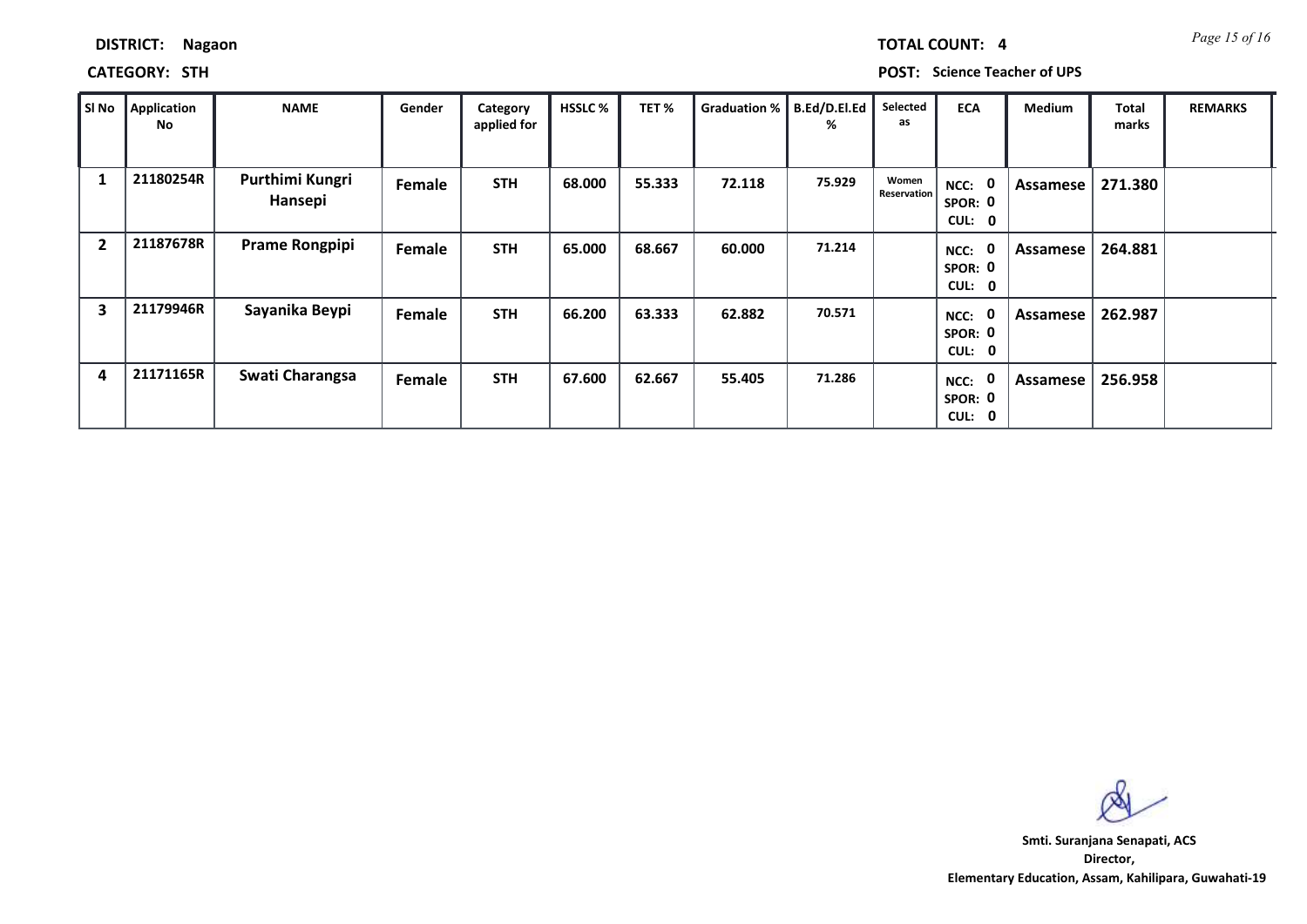| DISTRICT: | <b>Nagaon</b> |
|-----------|---------------|
|-----------|---------------|

### **CATEGORY: STH POST: Science Teacher of UPS**

| SI No          | <b>Application</b><br>No | <b>NAME</b>                | Gender | Category<br>applied for | <b>HSSLC %</b> | TET%   | Graduation % | B.Ed/D.El.Ed<br>% | Selected<br>as       | <b>ECA</b>                     | <b>Medium</b> | Total<br>marks | <b>REMARKS</b> |
|----------------|--------------------------|----------------------------|--------|-------------------------|----------------|--------|--------------|-------------------|----------------------|--------------------------------|---------------|----------------|----------------|
| 1              | 21180254R                | Purthimi Kungri<br>Hansepi | Female | <b>STH</b>              | 68.000         | 55.333 | 72.118       | 75.929            | Women<br>Reservation | NCC: 0<br>SPOR: 0<br>CUL: 0    | Assamese      | 271.380        |                |
| $\overline{2}$ | 21187678R                | <b>Prame Rongpipi</b>      | Female | <b>STH</b>              | 65.000         | 68.667 | 60.000       | 71.214            |                      | 0<br>NCC:<br>SPOR: 0<br>CUL: 0 | Assamese      | 264.881        |                |
| 3              | 21179946R                | Sayanika Beypi             | Female | <b>STH</b>              | 66.200         | 63.333 | 62.882       | 70.571            |                      | 0<br>NCC:<br>SPOR: 0<br>CUL: 0 | Assamese      | 262.987        |                |
| 4              | 21171165R                | Swati Charangsa            | Female | <b>STH</b>              | 67.600         | 62.667 | 55.405       | 71.286            |                      | 0<br>NCC:<br>SPOR: 0<br>CUL: 0 | Assamese      | 256.958        |                |

**Director, Elementary Education, Assam, Kahilipara, Guwahati-19 Smti. Suranjana Senapati, ACS**

*Page 15 of 16* **TOTAL COUNT: 4**